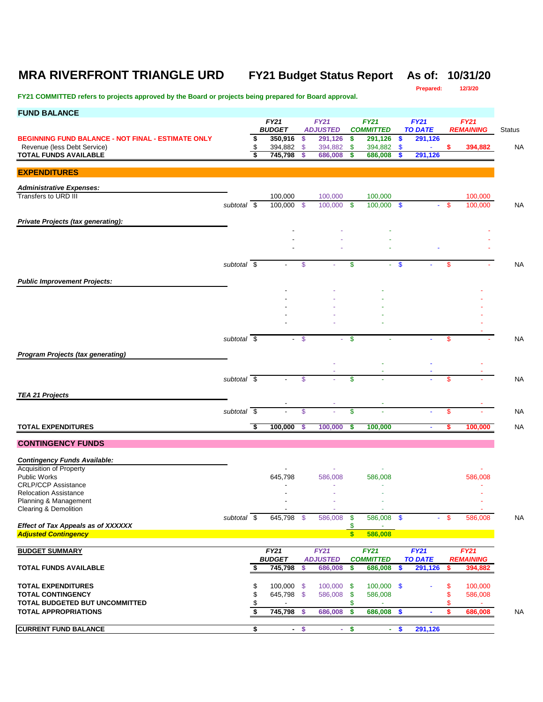# **MRA RIVERFRONT TRIANGLE URD FY21 Budget Status Report As of: 10/31/20**

**Prepared:** 

| <b>FUND BALANCE</b>                                                                      |                          |          |                            |               |                         |                  |                             |                           |                |      |                    |        |
|------------------------------------------------------------------------------------------|--------------------------|----------|----------------------------|---------------|-------------------------|------------------|-----------------------------|---------------------------|----------------|------|--------------------|--------|
|                                                                                          |                          |          | <b>FY21</b>                |               | <b>FY21</b>             |                  | <b>FY21</b>                 |                           | <b>FY21</b>    |      | FY21               |        |
|                                                                                          |                          |          | <b>BUDGET</b>              |               | <b>ADJUSTED</b>         |                  | <b>COMMITTED</b><br>291,126 |                           | <b>TO DATE</b> |      | <b>REMAINING</b>   | Status |
| <b>BEGINNING FUND BALANCE - NOT FINAL - ESTIMATE ONLY</b><br>Revenue (less Debt Service) |                          | \$<br>\$ | 350,916<br>394,882         | \$<br>\$      | 291,126<br>394,882      | \$<br>\$         | 394,882                     | \$<br>\$                  | 291,126        | \$   | 394,882            | NA     |
| <b>TOTAL FUNDS AVAILABLE</b>                                                             |                          | \$       | 745,798                    | \$            | 686,008                 | \$               | 686,008                     | \$                        | 291,126        |      |                    |        |
|                                                                                          |                          |          |                            |               |                         |                  |                             |                           |                |      |                    |        |
| <b>EXPENDITURES</b>                                                                      |                          |          |                            |               |                         |                  |                             |                           |                |      |                    |        |
| <b>Administrative Expenses:</b>                                                          |                          |          |                            |               |                         |                  |                             |                           |                |      |                    |        |
| Transfers to URD III                                                                     |                          |          | 100,000                    |               | 100,000                 |                  | 100,000                     |                           |                |      | 100,000            |        |
|                                                                                          | subtotal \$              |          | 100,000 \$                 |               | 100,000                 | - \$             | 100,000 \$                  |                           | ÷              | - \$ | 100,000            | NA     |
|                                                                                          |                          |          |                            |               |                         |                  |                             |                           |                |      |                    |        |
| Private Projects (tax generating):                                                       |                          |          |                            |               |                         |                  |                             |                           |                |      |                    |        |
|                                                                                          |                          |          |                            |               |                         |                  |                             |                           |                |      |                    |        |
|                                                                                          |                          |          |                            |               |                         |                  |                             |                           |                |      |                    |        |
|                                                                                          |                          |          |                            |               |                         |                  |                             |                           |                |      |                    |        |
|                                                                                          | subtotal \$              |          |                            | \$            |                         | \$               | ÷.                          | $\boldsymbol{\mathsf{s}}$ |                | \$   |                    | NA     |
|                                                                                          |                          |          |                            |               |                         |                  |                             |                           |                |      |                    |        |
| <b>Public Improvement Projects:</b>                                                      |                          |          |                            |               |                         |                  |                             |                           |                |      |                    |        |
|                                                                                          |                          |          |                            |               |                         |                  |                             |                           |                |      |                    |        |
|                                                                                          |                          |          |                            |               |                         |                  |                             |                           |                |      |                    |        |
|                                                                                          |                          |          |                            |               |                         |                  |                             |                           |                |      |                    |        |
|                                                                                          |                          |          |                            |               |                         |                  |                             |                           |                |      |                    |        |
|                                                                                          | subtotal \$              |          | $\blacksquare$             | $\mathcal{S}$ |                         | \$               |                             |                           |                | \$   |                    | NA     |
|                                                                                          |                          |          |                            |               |                         |                  |                             |                           |                |      |                    |        |
| <b>Program Projects (tax generating)</b>                                                 |                          |          |                            |               |                         |                  |                             |                           |                |      |                    |        |
|                                                                                          |                          |          |                            |               |                         |                  |                             |                           |                |      |                    |        |
|                                                                                          | subtotal $\overline{\$}$ |          |                            | \$            |                         | \$               |                             |                           |                | \$   |                    | NA     |
|                                                                                          |                          |          |                            |               |                         |                  |                             |                           |                |      |                    |        |
| <b>TEA 21 Projects</b>                                                                   |                          |          |                            |               |                         |                  |                             |                           |                |      |                    |        |
|                                                                                          | subtotal $\overline{\$}$ |          |                            | \$            |                         | \$               |                             |                           |                | \$   |                    | NA     |
|                                                                                          |                          |          |                            |               |                         |                  |                             |                           |                |      |                    |        |
| <b>TOTAL EXPENDITURES</b>                                                                |                          | \$       | 100,000                    | \$            | 100,000                 | S                | 100,000                     |                           | $\blacksquare$ | S    | 100,000            | NA     |
| <b>CONTINGENCY FUNDS</b>                                                                 |                          |          |                            |               |                         |                  |                             |                           |                |      |                    |        |
|                                                                                          |                          |          |                            |               |                         |                  |                             |                           |                |      |                    |        |
| <b>Contingency Funds Available:</b>                                                      |                          |          |                            |               |                         |                  |                             |                           |                |      |                    |        |
| Acquisition of Property                                                                  |                          |          |                            |               |                         |                  |                             |                           |                |      |                    |        |
| <b>Public Works</b>                                                                      |                          |          | 645,798                    |               | 586,008                 |                  | 586,008                     |                           |                |      | 586,008            |        |
| <b>CRLP/CCP Assistance</b><br><b>Relocation Assistance</b>                               |                          |          |                            |               |                         |                  |                             |                           |                |      |                    |        |
| Planning & Management                                                                    |                          |          |                            |               |                         |                  |                             |                           |                |      |                    |        |
| Clearing & Demolition                                                                    |                          |          |                            |               | ٠                       |                  | $\sim$                      |                           |                |      |                    |        |
|                                                                                          | subtotal $\sqrt{s}$      |          | 645,798 \$                 |               | 586,008                 | -\$              | 586,008 \$                  |                           |                | -S   | 586,008            | NA     |
| <b>Effect of Tax Appeals as of XXXXXX</b><br><b>Adjusted Contingency</b>                 |                          |          |                            |               |                         | \$<br>$\sqrt{3}$ | 586,008                     |                           |                |      |                    |        |
|                                                                                          |                          |          |                            |               |                         |                  |                             |                           |                |      |                    |        |
| <b>BUDGET SUMMARY</b>                                                                    |                          |          | FY21                       |               | <b>FY21</b>             |                  | <b>FY21</b>                 |                           | FY21           |      | <b>FY21</b>        |        |
|                                                                                          |                          |          | <b>BUDGET</b>              |               | <b>ADJUSTED</b>         |                  | <b>COMMITTED</b>            |                           | <b>TO DATE</b> |      | <b>REMAINING</b>   |        |
| <b>TOTAL FUNDS AVAILABLE</b>                                                             |                          | S        | 745,798                    | \$            | 686,008                 | \$               | 686,008                     | \$                        | 291,126        | \$   | 394,882            |        |
| <b>TOTAL EXPENDITURES</b>                                                                |                          |          |                            |               |                         |                  |                             |                           |                |      |                    |        |
| <b>TOTAL CONTINGENCY</b>                                                                 |                          | \$<br>\$ | $100,000$ \$<br>645,798 \$ |               | $100,000$ \$<br>586,008 | \$               | $100,000$ \$<br>586,008     |                           |                | \$   | 100,000<br>586,008 |        |
| TOTAL BUDGETED BUT UNCOMMITTED                                                           |                          |          |                            |               |                         | \$               |                             |                           |                | \$   |                    |        |
| <b>TOTAL APPROPRIATIONS</b>                                                              |                          | \$       | 745,798                    | \$            | 686,008                 | \$               | 686,008                     | \$                        |                | \$   | 686,008            | NA     |
|                                                                                          |                          |          |                            |               |                         |                  |                             |                           |                |      |                    |        |
| <b>CURRENT FUND BALANCE</b>                                                              |                          | \$       |                            | $-5$          | ×.                      | \$               | $\sim$                      | $\boldsymbol{\$}$         | 291,126        |      |                    |        |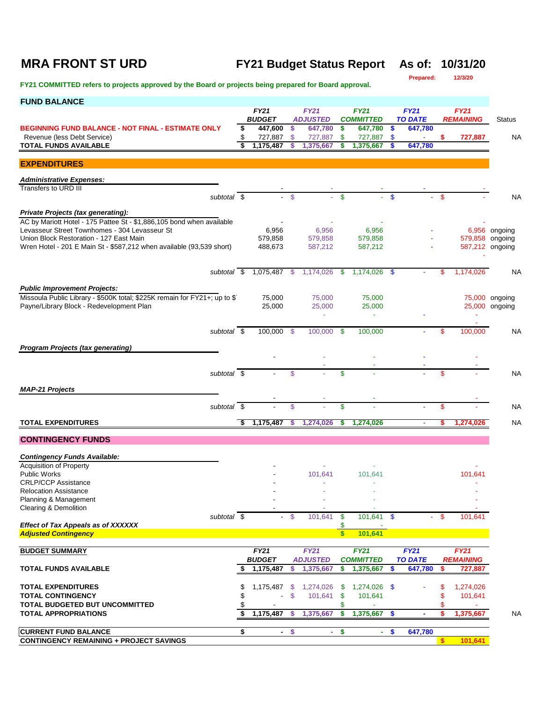# **MRA FRONT ST URD FY21 Budget Status Report As of: 10/31/20**

**Prepared:** 

| <b>FUND BALANCE</b>                                                                                                    |    |                          |                |                            |                         |                             |               |                               |               |                                 |                |  |  |
|------------------------------------------------------------------------------------------------------------------------|----|--------------------------|----------------|----------------------------|-------------------------|-----------------------------|---------------|-------------------------------|---------------|---------------------------------|----------------|--|--|
|                                                                                                                        |    | <b>FY21</b>              |                | <b>FY21</b>                |                         | <b>FY21</b>                 |               | <b>FY21</b>                   |               | <b>FY21</b>                     |                |  |  |
| <b>BEGINNING FUND BALANCE - NOT FINAL - ESTIMATE ONLY</b>                                                              | S  | <b>BUDGET</b><br>447,600 | \$             | <b>ADJUSTED</b><br>647,780 | \$                      | <b>COMMITTED</b><br>647,780 | -S            | <b>TO DATE</b><br>647,780     |               | <b>REMAINING</b>                | <b>Status</b>  |  |  |
| Revenue (less Debt Service)                                                                                            |    | 727,887                  | -S             | 727,887                    | \$.                     | 727,887                     | \$.           |                               | S             | 727,887                         | NA             |  |  |
| <b>TOTAL FUNDS AVAILABLE</b>                                                                                           |    | 1,175,487                |                | 1,375,667                  | \$                      | 1,375,667                   |               | 647,780                       |               |                                 |                |  |  |
| <b>EXPENDITURES</b>                                                                                                    |    |                          |                |                            |                         |                             |               |                               |               |                                 |                |  |  |
|                                                                                                                        |    |                          |                |                            |                         |                             |               |                               |               |                                 |                |  |  |
| <b>Administrative Expenses:</b><br>Transfers to URD III                                                                |    |                          |                |                            |                         |                             |               |                               |               |                                 |                |  |  |
| subtotal \$                                                                                                            |    | $\sim$                   | $\mathcal{S}$  |                            | $\mathbf{s}$            |                             | $\mathbf{\$}$ |                               | <sup>\$</sup> |                                 | <b>NA</b>      |  |  |
|                                                                                                                        |    |                          |                |                            |                         |                             |               |                               |               |                                 |                |  |  |
| Private Projects (tax generating):                                                                                     |    |                          |                |                            |                         |                             |               |                               |               |                                 |                |  |  |
| AC by Mariott Hotel - 175 Pattee St - \$1,886,105 bond when available<br>Levasseur Street Townhomes - 304 Levasseur St |    | 6,956                    |                | 6,956                      |                         | 6,956                       |               |                               |               |                                 | 6,956 ongoing  |  |  |
| Union Block Restoration - 127 East Main                                                                                |    | 579,858                  |                | 579,858                    |                         | 579,858                     |               |                               |               | 579,858 ongoing                 |                |  |  |
| Wren Hotel - 201 E Main St - \$587,212 when available (93,539 short)                                                   |    | 488,673                  |                | 587,212                    |                         | 587,212                     |               |                               |               | 587,212 ongoing                 |                |  |  |
|                                                                                                                        |    |                          |                |                            |                         |                             |               |                               |               |                                 |                |  |  |
| subtotal \$                                                                                                            |    |                          |                | 1,075,487 \$ 1,174,026     | \$                      | 1.174.026 \$                |               |                               | \$            | 1,174,026                       | NA             |  |  |
|                                                                                                                        |    |                          |                |                            |                         |                             |               |                               |               |                                 |                |  |  |
| <b>Public Improvement Projects:</b><br>Missoula Public Library - \$500K total; \$225K remain for FY21+; up to \$       |    | 75,000                   |                | 75,000                     |                         | 75,000                      |               |                               |               |                                 | 75,000 ongoing |  |  |
| Payne/Library Block - Redevelopment Plan                                                                               |    | 25,000                   |                | 25,000                     |                         | 25,000                      |               |                               |               |                                 | 25,000 ongoing |  |  |
|                                                                                                                        |    |                          |                | ä,                         |                         | ÷                           |               |                               |               |                                 |                |  |  |
| subtotal \$                                                                                                            |    | 100,000 \$               |                | 100,000                    | - \$                    | 100,000                     |               |                               | \$            | 100,000                         | NA             |  |  |
|                                                                                                                        |    |                          |                |                            |                         |                             |               |                               |               |                                 |                |  |  |
| <b>Program Projects (tax generating)</b>                                                                               |    |                          |                |                            |                         |                             |               |                               |               |                                 |                |  |  |
|                                                                                                                        |    |                          |                |                            |                         |                             |               |                               |               |                                 |                |  |  |
| subtotal \$                                                                                                            |    |                          | \$.            |                            | $\mathbf{\$}$           |                             |               |                               | \$            |                                 | NA             |  |  |
|                                                                                                                        |    |                          |                |                            |                         |                             |               |                               |               |                                 |                |  |  |
| <b>MAP-21 Projects</b>                                                                                                 |    |                          |                |                            |                         |                             |               |                               |               |                                 |                |  |  |
| subtotal \$                                                                                                            |    |                          | \$             |                            | \$                      |                             |               |                               | \$            |                                 | <b>NA</b>      |  |  |
| <b>TOTAL EXPENDITURES</b>                                                                                              | \$ | 1,175,487                | S              | 1,274,026                  | \$                      | 1,274,026                   |               |                               | s             | 1,274,026                       | <b>NA</b>      |  |  |
|                                                                                                                        |    |                          |                |                            |                         |                             |               |                               |               |                                 |                |  |  |
| <b>CONTINGENCY FUNDS</b>                                                                                               |    |                          |                |                            |                         |                             |               |                               |               |                                 |                |  |  |
| <b>Contingency Funds Available:</b>                                                                                    |    |                          |                |                            |                         |                             |               |                               |               |                                 |                |  |  |
| <b>Acquisition of Property</b>                                                                                         |    |                          |                |                            |                         |                             |               |                               |               |                                 |                |  |  |
| <b>Public Works</b>                                                                                                    |    |                          |                | 101,641                    |                         | 101,641                     |               |                               |               | 101,641                         |                |  |  |
| <b>CRLP/CCP Assistance</b><br><b>Relocation Assistance</b>                                                             |    |                          |                |                            |                         |                             |               |                               |               |                                 |                |  |  |
| Planning & Management                                                                                                  |    |                          |                |                            |                         |                             |               |                               |               |                                 |                |  |  |
| Clearing & Demolition<br>subtotal \$                                                                                   |    |                          |                |                            | $\mathbf{\hat{s}}$      |                             |               |                               | $-$ \$        |                                 |                |  |  |
| <b>Effect of Tax Appeals as of XXXXXX</b>                                                                              |    |                          | $\mathfrak{s}$ | 101,641                    | \$                      | 101,641 \$                  |               |                               |               | 101,641                         |                |  |  |
| <b>Adjusted Contingency</b>                                                                                            |    |                          |                |                            | $\overline{\mathbf{s}}$ | 101,641                     |               |                               |               |                                 |                |  |  |
|                                                                                                                        |    | FY21                     |                | <b>FY21</b>                |                         | <b>FY21</b>                 |               |                               |               |                                 |                |  |  |
| <b>BUDGET SUMMARY</b>                                                                                                  |    | <b>BUDGET</b>            |                | <b>ADJUSTED</b>            |                         | <b>COMMITTED</b>            |               | <b>FY21</b><br><b>TO DATE</b> |               | <b>FY21</b><br><b>REMAINING</b> |                |  |  |
| <b>TOTAL FUNDS AVAILABLE</b>                                                                                           |    | 1,175,487                | S              | 1,375,667                  | s                       | 1,375,667                   | S             | 647,780                       | \$            | 727,887                         |                |  |  |
|                                                                                                                        |    |                          |                |                            |                         |                             |               |                               |               |                                 |                |  |  |
| <b>TOTAL EXPENDITURES</b>                                                                                              |    | 1,175,487                | -S             | 1,274,026                  | -S                      | 1,274,026 \$                |               |                               |               | 1,274,026                       |                |  |  |
| <b>TOTAL CONTINGENCY</b><br>TOTAL BUDGETED BUT UNCOMMITTED                                                             |    | $\blacksquare$           | $\mathfrak{S}$ | 101,641                    | \$<br>\$                | 101,641                     |               |                               | \$<br>\$      | 101,641                         |                |  |  |
| <b>TOTAL APPROPRIATIONS</b>                                                                                            |    | 1,175,487                | S              | 1,375,667                  | \$                      | 1,375,667                   | \$            |                               |               | 1,375,667                       | <b>NA</b>      |  |  |
|                                                                                                                        |    |                          |                |                            |                         |                             |               |                               |               |                                 |                |  |  |
| <b>CURRENT FUND BALANCE</b>                                                                                            | \$ | $\blacksquare$           | \$             | $\sim$                     | \$                      | ÷.                          | \$            | 647,780                       |               |                                 |                |  |  |
| <b>CONTINGENCY REMAINING + PROJECT SAVINGS</b>                                                                         |    |                          |                |                            |                         |                             |               |                               | \$            | 101,641                         |                |  |  |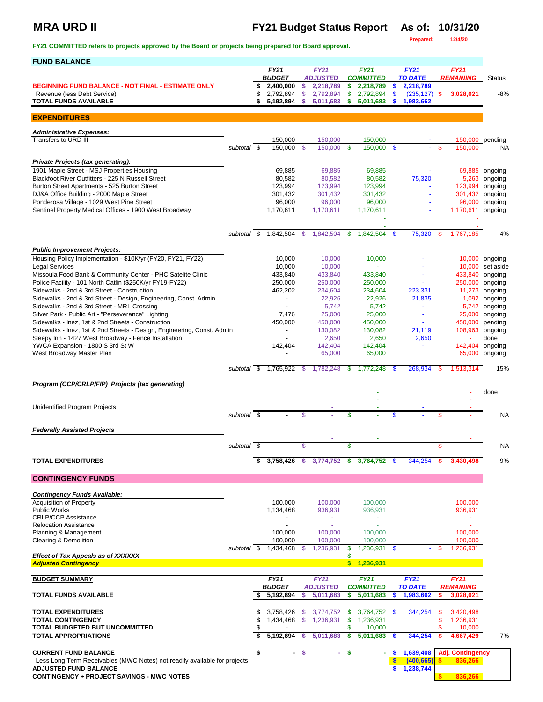## **MRA URD II FY21 Budget Status Report As of: 10/31/20**<br>**Prepared:** 12/4/20

**FY21 COMMITTED refers to projects approved by the Board or projects being prepared for Board approval.** 

**Prepared: 12/4/20**

| <b>FUND BALANCE</b>                                                                             |             |                                  |               |                              |      |                               |          |                                    |      |                          |                       |
|-------------------------------------------------------------------------------------------------|-------------|----------------------------------|---------------|------------------------------|------|-------------------------------|----------|------------------------------------|------|--------------------------|-----------------------|
|                                                                                                 |             | <b>FY21</b>                      |               | <b>FY21</b>                  |      | <b>FY21</b>                   |          | FY21                               |      | <b>FY21</b>              |                       |
| <b>BEGINNING FUND BALANCE - NOT FINAL - ESTIMATE ONLY</b>                                       |             | \$<br><b>BUDGET</b><br>2,400,000 | \$            | <b>ADJUSTED</b><br>2,218,789 | \$   | <b>COMMITTED</b><br>2,218,789 | \$       | <b>TO DATE</b><br>2,218,789        |      | <b>REMAINING</b>         | <b>Status</b>         |
| Revenue (less Debt Service)                                                                     |             | \$<br>2,792,894                  | $\mathsf{\$}$ | 2,792,894                    | \$   | 2,792,894                     | \$       | $(235, 127)$ \$                    |      | 3,028,021                | $-8%$                 |
| <b>TOTAL FUNDS AVAILABLE</b>                                                                    |             | \$<br>5,192,894                  | s             | 5.011.683                    | \$   | 5,011,683                     | S        | 1,983,662                          |      |                          |                       |
| <b>EXPENDITURES</b>                                                                             |             |                                  |               |                              |      |                               |          |                                    |      |                          |                       |
|                                                                                                 |             |                                  |               |                              |      |                               |          |                                    |      |                          |                       |
| <b>Administrative Expenses:</b>                                                                 |             |                                  |               |                              |      |                               |          |                                    |      |                          |                       |
| Transfers to URD III                                                                            | subtotal \$ | 150,000<br>150.000               | - \$          | 150,000<br>150,000           | - \$ | 150,000<br>150,000            | <b>S</b> |                                    | \$.  | 150.000                  | 150,000 pending<br>NA |
|                                                                                                 |             |                                  |               |                              |      |                               |          |                                    |      |                          |                       |
| Private Projects (tax generating):                                                              |             |                                  |               |                              |      |                               |          |                                    |      |                          |                       |
| 1901 Maple Street - MSJ Properties Housing<br>Blackfoot River Outfitters - 225 N Russell Street |             | 69,885<br>80.582                 |               | 69,885<br>80.582             |      | 69,885                        |          |                                    |      |                          | 69,885 ongoing        |
| Burton Street Apartments - 525 Burton Street                                                    |             | 123,994                          |               | 123,994                      |      | 80,582<br>123,994             |          | 75,320<br>$\overline{\phantom{a}}$ |      | 5,263<br>123,994 ongoing | ongoing               |
| DJ&A Office Building - 2000 Maple Street                                                        |             | 301,432                          |               | 301,432                      |      | 301,432                       |          |                                    |      | 301,432 ongoing          |                       |
| Ponderosa Village - 1029 West Pine Street                                                       |             | 96,000                           |               | 96,000                       |      | 96,000                        |          |                                    |      | 96,000                   | ongoing               |
| Sentinel Property Medical Offices - 1900 West Broadway                                          |             | 1,170,611                        |               | 1,170,611                    |      | 1,170,611                     |          |                                    |      | 1,170,611                | ongoing               |
|                                                                                                 |             |                                  |               |                              |      |                               |          |                                    |      |                          |                       |
|                                                                                                 |             | subtotal \$ 1,842,504 \$         |               | 1,842,504                    | -S   | 1,842,504                     | -\$      | 75,320                             | -\$  | 1,767,185                | 4%                    |
|                                                                                                 |             |                                  |               |                              |      |                               |          |                                    |      |                          |                       |
| <b>Public Improvement Projects:</b>                                                             |             |                                  |               |                              |      |                               |          |                                    |      |                          |                       |
| Housing Policy Implementation - \$10K/yr (FY20, FY21, FY22)                                     |             | 10,000                           |               | 10,000                       |      | 10,000                        |          |                                    |      |                          | 10,000 ongoing        |
| <b>Legal Services</b>                                                                           |             | 10,000                           |               | 10,000                       |      | ÷.                            |          |                                    |      |                          | 10,000 set aside      |
| Missoula Food Bank & Community Center - PHC Satelite Clinic                                     |             | 433,840                          |               | 433,840                      |      | 433,840                       |          |                                    |      | 433,840                  | ongoing               |
| Police Facility - 101 North Catlin (\$250K/yr FY19-FY22)                                        |             | 250,000                          |               | 250,000                      |      | 250,000                       |          | ÷,                                 |      | 250,000                  | ongoing               |
| Sidewalks - 2nd & 3rd Street - Construction                                                     |             | 462,202                          |               | 234,604                      |      | 234,604                       |          | 223,331                            |      |                          | 11,273 ongoing        |
| Sidewalks - 2nd & 3rd Street - Design, Engineering, Const. Admin                                |             | $\overline{\phantom{a}}$         |               | 22,926                       |      | 22,926                        |          | 21,835                             |      |                          | 1,092 ongoing         |
| Sidewalks - 2nd & 3rd Street - MRL Crossing                                                     |             | $\sim$                           |               | 5,742                        |      | 5,742                         |          | $\blacksquare$                     |      |                          | 5,742 ongoing         |
| Silver Park - Public Art - "Perseverance" Lighting                                              |             | 7,476                            |               | 25,000                       |      | 25,000                        |          | $\blacksquare$                     |      | 25,000                   | ongoing               |
| Sidewalks - Inez, 1st & 2nd Streets - Construction                                              |             | 450,000                          |               | 450,000                      |      | 450,000                       |          | ÷.                                 |      | 450,000                  | pending               |
| Sidewalks - Inez, 1st & 2nd Streets - Design, Engineering, Const. Admin                         |             | $\overline{\phantom{a}}$         |               | 130,082                      |      | 130,082                       |          | 21,119                             |      | 108,963 ongoing          |                       |
| Sleepy Inn - 1427 West Broadway - Fence Installation<br>YWCA Expansion - 1800 S 3rd St W        |             | 142,404                          |               | 2,650<br>142,404             |      | 2,650<br>142,404              |          | 2,650<br>$\blacksquare$            |      | 142,404 ongoing          | done                  |
| West Broadway Master Plan                                                                       |             | $\overline{a}$                   |               | 65,000                       |      | 65,000                        |          |                                    |      |                          | 65,000 ongoing        |
|                                                                                                 |             |                                  |               |                              |      |                               |          |                                    |      |                          |                       |
|                                                                                                 | subtotal \$ | 1,765,922 \$                     |               | 1,782,248                    | \$   | 1,772,248                     | <b>S</b> | 268,934                            | - \$ | 1,513,314                | 15%                   |
| Program (CCP/CRLP/FIP) Projects (tax generating)                                                |             |                                  |               |                              |      |                               |          |                                    |      |                          |                       |
|                                                                                                 |             |                                  |               |                              |      |                               |          |                                    |      |                          | done                  |
|                                                                                                 |             |                                  |               |                              |      |                               |          |                                    |      |                          |                       |
| <b>Unidentified Program Projects</b>                                                            |             |                                  |               |                              |      |                               |          |                                    |      |                          |                       |
|                                                                                                 | subtotal \$ |                                  | \$            |                              | \$   |                               | \$       |                                    | S    |                          | <b>NA</b>             |
| <b>Federally Assisted Projects</b>                                                              |             |                                  |               |                              |      |                               |          |                                    |      |                          |                       |
|                                                                                                 |             |                                  |               |                              |      |                               |          |                                    |      |                          |                       |
|                                                                                                 | subtotal \$ |                                  | \$            |                              | \$   |                               |          |                                    | \$   |                          | <b>NA</b>             |
| <b>TOTAL EXPENDITURES</b>                                                                       |             | \$<br>3,758,426                  | -\$           | 3,774,752                    | -\$  | 3,764,752                     | S.       | 344,254                            | s    | 3,430,498                | 9%                    |
|                                                                                                 |             |                                  |               |                              |      |                               |          |                                    |      |                          |                       |
| <b>CONTINGENCY FUNDS</b>                                                                        |             |                                  |               |                              |      |                               |          |                                    |      |                          |                       |
|                                                                                                 |             |                                  |               |                              |      |                               |          |                                    |      |                          |                       |
| <b>Contingency Funds Available:</b><br><b>Acquisition of Property</b>                           |             | 100.000                          |               |                              |      |                               |          |                                    |      |                          |                       |
| <b>Public Works</b>                                                                             |             | 1,134,468                        |               | 100,000<br>936,931           |      | 100,000<br>936,931            |          |                                    |      | 100,000<br>936,931       |                       |
| <b>CRLP/CCP Assistance</b>                                                                      |             |                                  |               |                              |      |                               |          |                                    |      |                          |                       |
| <b>Relocation Assistance</b>                                                                    |             | $\blacksquare$                   |               | ÷.                           |      | ä,                            |          |                                    |      | $\omega$                 |                       |
| Planning & Management                                                                           |             | 100,000                          |               | 100,000                      |      | 100,000                       |          |                                    |      | 100,000                  |                       |
| <b>Clearing &amp; Demolition</b>                                                                |             | 100,000                          |               | 100,000                      |      | 100,000                       |          |                                    |      | 100,000                  |                       |
|                                                                                                 | subtotal \$ | 1,434,468                        |               | 1,236,931                    | \$   | 1,236,931 \$                  |          |                                    |      | 1,236,931                |                       |
| <b>Effect of Tax Appeals as of XXXXXX</b><br><b>Adjusted Contingency</b>                        |             |                                  |               |                              | \$   | \$1,236,931                   |          |                                    |      |                          |                       |
|                                                                                                 |             |                                  |               |                              |      |                               |          |                                    |      |                          |                       |
| <b>BUDGET SUMMARY</b>                                                                           |             | <b>FY21</b>                      |               | <b>FY21</b>                  |      | <b>FY21</b>                   |          | FY21                               |      | <b>FY21</b>              |                       |
|                                                                                                 |             | <b>BUDGET</b>                    |               | <b>ADJUSTED</b>              |      | <b>COMMITTED</b>              |          | <b>TO DATE</b>                     |      | <b>REMAINING</b>         |                       |
| <b>TOTAL FUNDS AVAILABLE</b>                                                                    |             | \$<br>5,192,894                  | \$            | 5,011,683                    | \$   | 5,011,683                     | \$       | 1,983,662                          |      | 3,028,021                |                       |
| <b>TOTAL EXPENDITURES</b>                                                                       |             | \$<br>3,758,426                  | \$            | 3,774,752                    | \$   | 3,764,752 \$                  |          | 344,254                            | \$   | 3,420,498                |                       |
| <b>TOTAL CONTINGENCY</b>                                                                        |             | \$<br>1,434,468                  | $\mathcal{S}$ | 1,236,931                    | \$   | 1,236,931                     |          |                                    | \$   | 1,236,931                |                       |
| TOTAL BUDGETED BUT UNCOMMITTED                                                                  |             | \$<br>٠                          |               |                              | \$   | 10,000                        |          |                                    | \$   | 10,000                   |                       |
| <b>TOTAL APPROPRIATIONS</b>                                                                     |             | \$<br>5,192,894                  | s             | 5,011,683                    | \$   | 5,011,683                     | S        | 344,254                            | \$   | 4,667,429                | 7%                    |
|                                                                                                 |             |                                  |               |                              |      |                               |          |                                    |      |                          |                       |
| <b>CURRENT FUND BALANCE</b>                                                                     |             | \$                               | - \$          | ÷.                           | -\$  | $\sim$                        | \$       | 1,639,408                          |      | <b>Adj. Contingency</b>  |                       |
| Less Long Term Receivables (MWC Notes) not readily available for projects                       |             |                                  |               |                              |      |                               | \$       | (400, 665)                         |      | 836,266                  |                       |
| <b>ADJUSTED FUND BALANCE</b>                                                                    |             |                                  |               |                              |      |                               | \$       | 1,238,744                          |      |                          |                       |
| <b>CONTINGENCY + PROJECT SAVINGS - MWC NOTES</b>                                                |             |                                  |               |                              |      |                               |          |                                    |      | 836,266                  |                       |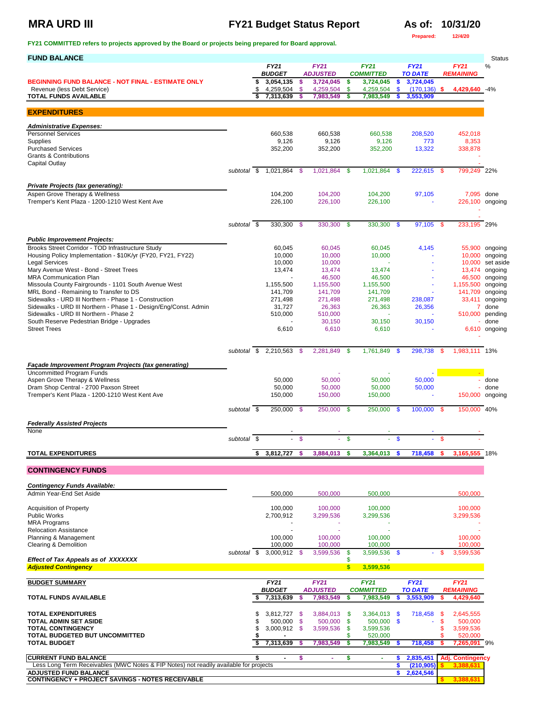## **MRA URD III FY21 Budget Status Report As of: 10/31/20 As of: 10/31/20**

**Prepared: 12/4/20**

| <b>FUND BALANCE</b>                                                                                                       |                          |          |                              |                |                                |                   |                                 |                     |                              |           |                                      | <b>Status</b>                    |
|---------------------------------------------------------------------------------------------------------------------------|--------------------------|----------|------------------------------|----------------|--------------------------------|-------------------|---------------------------------|---------------------|------------------------------|-----------|--------------------------------------|----------------------------------|
|                                                                                                                           |                          |          | <b>FY21</b><br><b>BUDGET</b> |                | <b>FY21</b><br><b>ADJUSTED</b> |                   | <b>FY21</b><br><b>COMMITTED</b> |                     | FY21<br><b>TO DATE</b>       |           | <b>FY21</b><br><b>REMAINING</b>      | %                                |
| <b>BEGINNING FUND BALANCE - NOT FINAL - ESTIMATE ONLY</b>                                                                 |                          | \$       | 3,054,135                    | \$             | 3,724,045                      | \$                | 3,724,045                       | \$                  | 3,724,045                    |           |                                      |                                  |
| Revenue (less Debt Service)<br><b>TOTAL FUNDS AVAILABLE</b>                                                               |                          | \$<br>\$ | 4,259,504<br>7,313,639       | \$<br>s        | 4,259,504<br>7,983,549         | \$<br>s           | 4,259,504<br>7,983,549          | $\mathbf{\$}$<br>\$ | $(170, 136)$ \$<br>3,553,909 |           | 4,429,640 -4%                        |                                  |
|                                                                                                                           |                          |          |                              |                |                                |                   |                                 |                     |                              |           |                                      |                                  |
| <b>EXPENDITURES</b>                                                                                                       |                          |          |                              |                |                                |                   |                                 |                     |                              |           |                                      |                                  |
| <b>Administrative Expenses:</b><br><b>Personnel Services</b>                                                              |                          |          | 660,538                      |                | 660,538                        |                   | 660,538                         |                     | 208,520                      |           | 452,018                              |                                  |
| Supplies                                                                                                                  |                          |          | 9,126                        |                | 9,126                          |                   | 9,126                           |                     | 773                          |           | 8,353                                |                                  |
| <b>Purchased Services</b><br><b>Grants &amp; Contributions</b>                                                            |                          |          | 352,200                      |                | 352,200                        |                   | 352,200                         |                     | 13,322                       |           | 338,878                              |                                  |
| Capital Outlay                                                                                                            | subtotal \$              |          | 1,021,864                    | \$             | 1,021,864                      | \$                | 1,021,864                       | -\$                 | 222,615                      | \$        | 799,249 22%                          |                                  |
|                                                                                                                           |                          |          |                              |                |                                |                   |                                 |                     |                              |           |                                      |                                  |
| <b>Private Projects (tax generating):</b><br>Aspen Grove Therapy & Wellness                                               |                          |          | 104,200                      |                | 104,200                        |                   | 104,200                         |                     | 97,105                       |           | 7,095 done                           |                                  |
| Tremper's Kent Plaza - 1200-1210 West Kent Ave                                                                            |                          |          | 226,100                      |                | 226,100                        |                   | 226,100                         |                     |                              |           | 226,100 ongoing                      |                                  |
|                                                                                                                           |                          |          |                              |                |                                |                   |                                 |                     |                              |           |                                      |                                  |
|                                                                                                                           | subtotal \$              |          | 330,300                      | $\mathfrak{F}$ | 330,300 \$                     |                   | 330,300 \$                      |                     | 97,105 \$                    |           | 233,195 29%                          |                                  |
| <b>Public Improvement Projects:</b>                                                                                       |                          |          |                              |                |                                |                   |                                 |                     |                              |           |                                      |                                  |
| Brooks Street Corridor - TOD Infrastructure Study<br>Housing Policy Implementation - \$10K/yr (FY20, FY21, FY22)          |                          |          | 60,045<br>10,000             |                | 60,045<br>10,000               |                   | 60,045<br>10,000                |                     | 4,145                        |           |                                      | 55,900 ongoing<br>10,000 ongoing |
| <b>Legal Services</b>                                                                                                     |                          |          | 10,000                       |                | 10,000                         |                   |                                 |                     | ÷.                           |           |                                      | 10,000 set aside                 |
| Mary Avenue West - Bond - Street Trees                                                                                    |                          |          | 13,474                       |                | 13,474                         |                   | 13,474                          |                     |                              |           |                                      | 13,474 ongoing                   |
| MRA Communication Plan<br>Missoula County Fairgrounds - 1101 South Avenue West                                            |                          |          | 1,155,500                    |                | 46,500<br>1,155,500            |                   | 46,500<br>1,155,500             |                     | $\blacksquare$               |           | 1,155,500 ongoing                    | 46,500 ongoing                   |
| MRL Bond - Remaining to Transfer to DS                                                                                    |                          |          | 141,709                      |                | 141,709                        |                   | 141,709                         |                     |                              |           | 141,709 ongoing                      |                                  |
| Sidewalks - URD III Northern - Phase 1 - Construction<br>Sidewalks - URD III Northern - Phase 1 - Design/Eng/Const. Admin |                          |          | 271,498<br>31,727            |                | 271,498<br>26,363              |                   | 271,498<br>26,363               |                     | 238,087<br>26,356            |           |                                      | 33,411 ongoing<br>7 done         |
| Sidewalks - URD III Northern - Phase 2                                                                                    |                          |          | 510,000                      |                | 510,000                        |                   | ×.                              |                     |                              |           | 510,000 pending                      |                                  |
| South Reserve Pedestrian Bridge - Upgrades                                                                                |                          |          |                              |                | 30,150                         |                   | 30,150                          |                     | 30,150                       |           |                                      | done                             |
| <b>Street Trees</b>                                                                                                       |                          |          | 6,610                        |                | 6,610                          |                   | 6,610                           |                     |                              |           |                                      | 6,610 ongoing                    |
|                                                                                                                           |                          |          | subtotal \$ 2,210,563 \$     |                | 2,281,849                      | - \$              | $1,761,849$ \$                  |                     | 298,738                      | - \$      | 1,983,111 13%                        |                                  |
|                                                                                                                           |                          |          |                              |                |                                |                   |                                 |                     |                              |           |                                      |                                  |
| Façade Improvement Program Projects (tax generating)<br><b>Uncommitted Program Funds</b>                                  |                          |          |                              |                |                                |                   |                                 |                     |                              |           |                                      |                                  |
| Aspen Grove Therapy & Wellness                                                                                            |                          |          | 50,000                       |                | 50,000                         |                   | 50,000                          |                     | 50,000                       |           |                                      | done                             |
| Dram Shop Central - 2700 Paxson Street<br>Tremper's Kent Plaza - 1200-1210 West Kent Ave                                  |                          |          | 50,000<br>150,000            |                | 50,000<br>150,000              |                   | 50,000<br>150,000               |                     | 50,000                       |           | 150,000 ongoing                      | - done                           |
|                                                                                                                           | subtotal \$              |          |                              |                |                                |                   |                                 |                     | 100,000 \$                   |           | 150,000 40%                          |                                  |
|                                                                                                                           |                          |          | 250,000 \$                   |                | 250,000 \$                     |                   | 250,000 \$                      |                     |                              |           |                                      |                                  |
| <b>Federally Assisted Projects</b><br>None                                                                                |                          |          |                              |                |                                |                   |                                 |                     |                              |           |                                      |                                  |
|                                                                                                                           | subtotal $\overline{\$}$ |          |                              | $\mathbf{\$}$  |                                | $\mathbf{\$}$     |                                 | $\mathbf{\$}$       |                              | \$        |                                      |                                  |
| <b>TOTAL EXPENDITURES</b>                                                                                                 |                          | \$       | 3,812,727                    | \$             | 3,884,013                      | \$                | 3,364,013                       | -\$                 | 718,458                      | -S        | 3,165,555 18%                        |                                  |
| <b>CONTINGENCY FUNDS</b>                                                                                                  |                          |          |                              |                |                                |                   |                                 |                     |                              |           |                                      |                                  |
|                                                                                                                           |                          |          |                              |                |                                |                   |                                 |                     |                              |           |                                      |                                  |
| <b>Contingency Funds Available:</b><br>Admin Year-End Set Aside                                                           |                          |          | 500,000                      |                | 500,000                        |                   | 500,000                         |                     |                              |           | 500,000                              |                                  |
| <b>Acquisition of Property</b>                                                                                            |                          |          | 100,000                      |                | 100,000                        |                   | 100,000                         |                     |                              |           | 100,000                              |                                  |
| <b>Public Works</b>                                                                                                       |                          |          | 2,700,912                    |                | 3,299,536                      |                   | 3,299,536                       |                     |                              |           | 3,299,536                            |                                  |
| <b>MRA Programs</b>                                                                                                       |                          |          |                              |                |                                |                   |                                 |                     |                              |           |                                      |                                  |
| <b>Relocation Assistance</b><br>Planning & Management                                                                     |                          |          | 100,000                      |                | 100,000                        |                   | 100,000                         |                     |                              |           | 100,000                              |                                  |
| Clearing & Demolition                                                                                                     | subtotal \$              |          | 100,000                      |                | 100.000                        |                   | 100,000                         |                     |                              |           | 100.000                              |                                  |
| Effect of Tax Appeals as of XXXXXXX                                                                                       |                          |          | 3,000,912 \$                 |                | 3,599,536                      | \$<br>\$          | 3,599,536 \$                    |                     |                              | \$        | 3,599,536                            |                                  |
| <b>Adjusted Contingency</b>                                                                                               |                          |          |                              |                |                                | S                 | 3,599,536                       |                     |                              |           |                                      |                                  |
| <b>BUDGET SUMMARY</b>                                                                                                     |                          |          | FY21                         |                | <b>FY21</b>                    |                   | <b>FY21</b>                     |                     | FY21                         |           | <b>FY21</b>                          |                                  |
| <b>TOTAL FUNDS AVAILABLE</b>                                                                                              |                          | \$       | <b>BUDGET</b><br>7,313,639   | \$             | <b>ADJUSTED</b><br>7,983,549   | \$                | <b>COMMITTED</b><br>7,983,549   | s                   | <b>TO DATE</b><br>3,553,909  | \$        | <b>REMAINING</b><br>4,429,640        |                                  |
|                                                                                                                           |                          |          |                              |                |                                |                   |                                 |                     |                              |           |                                      |                                  |
| <b>TOTAL EXPENDITURES</b><br><b>TOTAL ADMIN SET ASIDE</b>                                                                 |                          | \$<br>\$ | 3,812,727 \$<br>500,000 \$   |                | 3,884,013<br>500,000           | -\$<br>\$         | $3,364,013$ \$<br>$500,000$ \$  |                     | 718,458                      | -\$<br>\$ | 2,645,555<br>500,000                 |                                  |
| <b>TOTAL CONTINGENCY</b>                                                                                                  |                          | \$       | $3,000,912$ \$               |                | 3,599,536                      | $\boldsymbol{\$}$ | 3,599,536                       |                     |                              | \$        | 3,599,536                            |                                  |
| TOTAL BUDGETED BUT UNCOMMITTED<br><b>TOTAL BUDGET</b>                                                                     |                          |          | 7,313,639                    | -S             | 7,983,549                      | \$<br>S           | 520,000<br>7,983,549            |                     | 718,458                      | \$<br>\$  | 520,000<br>7,265,091 9%              |                                  |
|                                                                                                                           |                          |          |                              |                |                                |                   |                                 |                     |                              |           |                                      |                                  |
| <b>CURRENT FUND BALANCE</b><br>Less Long Term Receivables (MWC Notes & FIP Notes) not readily available for projects      |                          | \$       | $\blacksquare$               | s              | $\mathbf{r}$                   | \$                | $\sim$                          | \$<br>\$            | 2,835,451<br>(210, 905)      |           | <b>Adj. Contingency</b><br>3,388,631 |                                  |
| ADJUSTED FUND BALANCE                                                                                                     |                          |          |                              |                |                                |                   |                                 | \$                  | 2,624,546                    |           |                                      |                                  |
| <b>CONTINGENCY + PROJECT SAVINGS - NOTES RECEIVABLE</b>                                                                   |                          |          |                              |                |                                |                   |                                 |                     |                              |           | 3,388,631                            |                                  |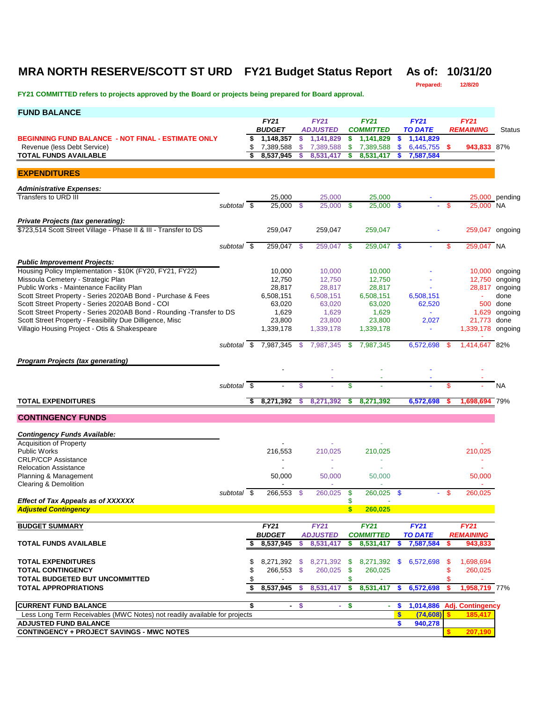### **MRA NORTH RESERVE/SCOTT ST URD FY21 Budget Status Report As of: 10/31/20**

**Prepared: 12/8/20**

| <b>FUND BALANCE</b>                                                                                           |                          |          |                              |               |                                |            |                                 |               |                        |      |                                    |                |
|---------------------------------------------------------------------------------------------------------------|--------------------------|----------|------------------------------|---------------|--------------------------------|------------|---------------------------------|---------------|------------------------|------|------------------------------------|----------------|
|                                                                                                               |                          |          | <b>FY21</b>                  |               | <b>FY21</b>                    |            | <b>FY21</b>                     |               | <b>FY21</b>            |      | <b>FY21</b>                        |                |
|                                                                                                               |                          |          | <b>BUDGET</b>                |               | <b>ADJUSTED</b>                |            | <b>COMMITTED</b>                |               | <b>TO DATE</b>         |      | <b>REMAINING</b>                   | Status         |
| <b>BEGINNING FUND BALANCE - NOT FINAL - ESTIMATE ONLY</b><br>Revenue (less Debt Service)                      |                          | s.<br>\$ | 1,148,357<br>7,389,588       | \$<br>S.      | 1,141,829<br>7,389,588         | \$<br>\$   | 1,141,829<br>7,389,588          | \$<br>\$      | 1,141,829<br>6,445,755 | -S   | 943,833 87%                        |                |
| <b>TOTAL FUNDS AVAILABLE</b>                                                                                  |                          | \$       | 8,537,945                    | s             | 8,531,417                      | \$         | 8,531,417                       | S             | 7,587,584              |      |                                    |                |
|                                                                                                               |                          |          |                              |               |                                |            |                                 |               |                        |      |                                    |                |
| <b>EXPENDITURES</b>                                                                                           |                          |          |                              |               |                                |            |                                 |               |                        |      |                                    |                |
| <b>Administrative Expenses:</b>                                                                               |                          |          |                              |               |                                |            |                                 |               |                        |      |                                    |                |
| Transfers to URD III                                                                                          |                          |          | 25,000                       |               | 25,000                         |            | 25,000                          |               |                        |      |                                    | 25,000 pending |
|                                                                                                               | subtotal \$              |          | 25,000 \$                    |               | $25,000$ \$                    |            | 25,000                          | $\mathbf{s}$  |                        | \$   | 25,000 NA                          |                |
|                                                                                                               |                          |          |                              |               |                                |            |                                 |               |                        |      |                                    |                |
| <b>Private Projects (tax generating):</b><br>\$723,514 Scott Street Village - Phase II & III - Transfer to DS |                          |          | 259,047                      |               | 259,047                        |            | 259,047                         |               |                        |      | 259,047 ongoing                    |                |
|                                                                                                               |                          |          |                              |               |                                |            |                                 |               |                        |      |                                    |                |
|                                                                                                               | subtotal \$              |          | 259,047 \$                   |               | 259,047 \$                     |            | 259,047                         | - \$          |                        | \$   | 259,047 NA                         |                |
| <b>Public Improvement Projects:</b>                                                                           |                          |          |                              |               |                                |            |                                 |               |                        |      |                                    |                |
| Housing Policy Implementation - \$10K (FY20, FY21, FY22)                                                      |                          |          | 10,000                       |               | 10,000                         |            | 10,000                          |               |                        |      |                                    | 10,000 ongoing |
| Missoula Cemetery - Strategic Plan                                                                            |                          |          | 12,750                       |               | 12,750                         |            | 12,750                          |               |                        |      |                                    | 12,750 ongoing |
| Public Works - Maintenance Facility Plan                                                                      |                          |          | 28,817                       |               | 28,817                         |            | 28,817                          |               |                        |      | 28,817                             | ongoing        |
| Scott Street Property - Series 2020AB Bond - Purchase & Fees                                                  |                          |          | 6,508,151                    |               | 6,508,151                      |            | 6,508,151                       |               | 6,508,151              |      | ÷,                                 | done           |
| Scott Street Property - Series 2020AB Bond - COI                                                              |                          |          | 63,020                       |               | 63,020                         |            | 63,020                          |               | 62,520                 |      |                                    | 500 done       |
| Scott Street Property - Series 2020AB Bond - Rounding - Transfer to DS                                        |                          |          | 1,629                        |               | 1,629                          |            | 1,629                           |               | $\sim$                 |      | 1,629                              | ongoing        |
| Scott Street Property - Feasibility Due Dilligence, Misc                                                      |                          |          | 23,800                       |               | 23,800                         |            | 23,800                          |               | 2,027                  |      | 21,773                             | done           |
| Villagio Housing Project - Otis & Shakespeare                                                                 |                          |          | 1,339,178                    |               | 1,339,178                      |            | 1,339,178                       |               | $\blacksquare$         |      | 1,339,178 ongoing                  |                |
|                                                                                                               |                          |          | subtotal \$ 7,987,345        | - \$          | 7,987,345                      | -\$        | 7.987.345                       |               | 6,572,698              | - \$ | 1,414,647 82%                      |                |
|                                                                                                               |                          |          |                              |               |                                |            |                                 |               |                        |      |                                    |                |
| <b>Program Projects (tax generating)</b>                                                                      |                          |          |                              |               |                                |            |                                 |               |                        |      |                                    |                |
|                                                                                                               |                          |          |                              |               |                                |            |                                 |               |                        |      |                                    |                |
|                                                                                                               | subtotal $\overline{\$}$ |          |                              | \$            |                                | \$         |                                 |               |                        | \$   |                                    | <b>NA</b>      |
| <b>TOTAL EXPENDITURES</b>                                                                                     |                          | \$       | 8,271,392                    | S.            | 8,271,392                      | \$         | 8,271,392                       |               | 6,572,698              | S.   | 1,698,694 79%                      |                |
|                                                                                                               |                          |          |                              |               |                                |            |                                 |               |                        |      |                                    |                |
| <b>CONTINGENCY FUNDS</b>                                                                                      |                          |          |                              |               |                                |            |                                 |               |                        |      |                                    |                |
| <b>Contingency Funds Available:</b>                                                                           |                          |          |                              |               |                                |            |                                 |               |                        |      |                                    |                |
| <b>Acquisition of Property</b>                                                                                |                          |          |                              |               |                                |            |                                 |               |                        |      |                                    |                |
| <b>Public Works</b>                                                                                           |                          |          | 216,553                      |               | 210,025                        |            | 210,025                         |               |                        |      | 210,025                            |                |
| <b>CRLP/CCP Assistance</b>                                                                                    |                          |          | $\overline{\phantom{a}}$     |               | ÷,                             |            | ÷                               |               |                        |      |                                    |                |
| <b>Relocation Assistance</b>                                                                                  |                          |          |                              |               |                                |            |                                 |               |                        |      |                                    |                |
| Planning & Management                                                                                         |                          |          | 50,000                       |               | 50,000                         |            | 50,000                          |               |                        |      | 50,000                             |                |
| Clearing & Demolition                                                                                         | subtotal \$              |          | 266,553                      | -\$           | 260,025                        | \$         | 260,025                         | $\mathbf{\$}$ |                        | - \$ | 260,025                            |                |
| <b>Effect of Tax Appeals as of XXXXXX</b>                                                                     |                          |          |                              |               |                                | \$         |                                 |               |                        |      |                                    |                |
| <b>Adjusted Contingency</b>                                                                                   |                          |          |                              |               |                                | \$         | 260,025                         |               |                        |      |                                    |                |
|                                                                                                               |                          |          |                              |               |                                |            |                                 |               |                        |      |                                    |                |
| <b>BUDGET SUMMARY</b>                                                                                         |                          |          | <b>FY21</b><br><b>BUDGET</b> |               | <b>FY21</b><br><b>ADJUSTED</b> |            | <b>FY21</b><br><b>COMMITTED</b> |               | FY21<br><b>TO DATE</b> |      | <b>FY21</b><br><b>REMAINING</b>    |                |
| <b>TOTAL FUNDS AVAILABLE</b>                                                                                  |                          | \$       | 8,537,945                    | \$            | 8,531,417                      | \$         | 8,531,417                       | \$            | 7,587,584              | S    | 943,833                            |                |
|                                                                                                               |                          |          |                              |               |                                |            |                                 |               |                        |      |                                    |                |
| <b>TOTAL EXPENDITURES</b>                                                                                     |                          | \$       | 8,271,392 \$                 |               | 8,271,392                      | - \$       | 8,271,392                       | SS.           | 6,572,698              | S.   | 1,698,694                          |                |
| <b>TOTAL CONTINGENCY</b>                                                                                      |                          | \$       | 266,553 \$                   |               | 260,025 \$                     |            | 260,025                         |               |                        | \$   | 260,025                            |                |
| <b>TOTAL BUDGETED BUT UNCOMMITTED</b>                                                                         |                          |          |                              |               |                                | \$         |                                 |               |                        |      |                                    |                |
| <b>TOTAL APPROPRIATIONS</b>                                                                                   |                          | \$       | 8,537,945                    | -S            | 8,531,417                      | $\sqrt{2}$ | 8,531,417                       | $\mathbf{\$}$ | 6,572,698              | s.   | 1,958,719 77%                      |                |
|                                                                                                               |                          |          |                              |               |                                |            |                                 |               |                        |      |                                    |                |
| <b>CURRENT FUND BALANCE</b><br>Less Long Term Receivables (MWC Notes) not readily available for projects      |                          | \$       | $\sim$                       | $\sqrt[6]{3}$ | ÷.                             | \$         | $\blacksquare$                  | \$<br>\$      | 1,014,886<br>(74, 608) | s.   | <b>Adj. Contingency</b><br>185,417 |                |
| <b>ADJUSTED FUND BALANCE</b>                                                                                  |                          |          |                              |               |                                |            |                                 | \$            | 940,278                |      |                                    |                |
| <b>CONTINGENCY + PROJECT SAVINGS - MWC NOTES</b>                                                              |                          |          |                              |               |                                |            |                                 |               |                        |      | 207,190                            |                |